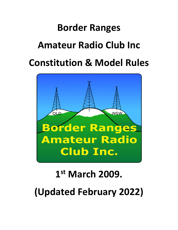# **Border Ranges Amateur Radio Club Inc Constitution & Model Rules**



# **1 st March 2009. (Updated February 2022)**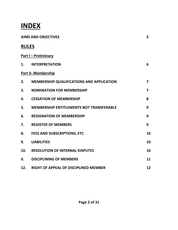### **INDEX**

|              | <b>AIMS AND OBJECTIVES</b>                       |                         |  |
|--------------|--------------------------------------------------|-------------------------|--|
| <b>RULES</b> |                                                  |                         |  |
|              | <b>Part I - Preliminary</b>                      |                         |  |
| 1.           | <b>INTERPRETATION</b>                            | 6                       |  |
|              | <b>Part II- Membership</b>                       |                         |  |
| 2.           | <b>MEMBERSHIP QUALIFICATIONS AND APPLICATION</b> | $\overline{\mathbf{z}}$ |  |
| 3.           | <b>NOMINATION FOR MEMBERSHIP</b>                 | $\overline{7}$          |  |
| 4.           | <b>CESSATION OF MEMBERSHIP</b>                   | 8                       |  |
| 5.           | <b>MEMBERSHIP ENTITLEMENTS NOT TRANSFERABLE</b>  | 9                       |  |
| 6.           | <b>RESIGNATION OF MEMBERSHIP</b>                 | 9                       |  |
| 7.           | <b>REGISTER OF MEMBERS</b>                       | 9                       |  |
| 8.           | <b>FEES AND SUBSCRIPTIONS, ETC</b>               | 10                      |  |
| 9.           | <b>LIABILITIES</b>                               | 10                      |  |
| 10.          | <b>RESOLUTION OF INTERNAL DISPUTES</b>           | 10                      |  |
| II.          | <b>DISCIPLINING OF MEMBERS</b>                   | 11                      |  |
| 12.          | <b>RIGHT OF APPEAL OF DISCIPLINED MEMBER</b>     | 12                      |  |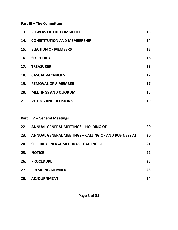#### **Part III – The Committee**

| 13. | <b>POWERS OF THE COMMITTEE</b>      | 13 |
|-----|-------------------------------------|----|
| 14. | <b>CONSITITUTION AND MEMBERSHIP</b> | 14 |
|     | 15. ELECTION OF MEMBERS             | 15 |
| 16. | <b>SECRETARY</b>                    | 16 |
| 17. | <b>TREASURER</b>                    | 16 |
| 18. | <b>CASUAL VACANCIES</b>             | 17 |
| 19. | <b>REMOVAL OF A MEMBER</b>          | 17 |
| 20. | <b>MEETINGS AND QUORUM</b>          | 18 |
| 21. | <b>VOTING AND DECISIONS</b>         | 19 |

#### **Part IV – General Meetings**

| 22 <sub>2</sub> | <b>ANNUAL GENERAL MEETINGS - HOLDING OF</b>                 | 20 |
|-----------------|-------------------------------------------------------------|----|
| 23.             | <b>ANNUAL GENERAL MEETINGS - CALLING OF AND BUSINESS AT</b> | 20 |
| 24.             | <b>SPECIAL GENERAL MEETINGS - CALLING OF</b>                | 21 |
| 25.             | <b>NOTICE</b>                                               | 22 |
| 26.             | <b>PROCEDURE</b>                                            | 23 |
| 27.             | <b>PRESIDING MEMBER</b>                                     | 23 |
| 28.             | <b>ADJOURNMENT</b>                                          | 24 |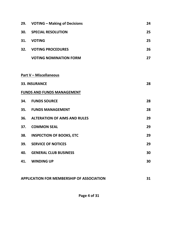| 29. | <b>VOTING - Making of Decisions</b> | 24 |
|-----|-------------------------------------|----|
|     | <b>30. SPECIAL RESOLUTION</b>       | 25 |
|     | 31. VOTING                          | 25 |
|     | 32. VOTING PROCEDURES               | 26 |
|     | <b>VOTING NOMINATION FORM</b>       | 27 |
|     |                                     |    |
|     | <b>Part V - Miscellaneous</b>       |    |
|     | <b>33. INSURANCE</b>                | 28 |
|     | <b>FUNDS AND FUNDS MANAGEMENT</b>   |    |
|     | 34. FUNDS SOURCE                    | 28 |
|     | <b>35. FUNDS MANAGEMENT</b>         | 28 |
| 36. | <b>ALTERATION OF AIMS AND RULES</b> | 29 |
| 37. | <b>COMMON SEAL</b>                  | 29 |
| 38. | <b>INSPECTION OF BOOKS, ETC</b>     | 29 |
| 39. | <b>SERVICE OF NOTICES</b>           | 29 |
|     | <b>40. GENERAL CLUB BUSINESS</b>    | 30 |
| 41. | <b>WINDING UP</b>                   | 30 |
|     |                                     |    |

| <b>APPLICATION FOR MEMBERSHIP OF ASSOCIATION</b> |  |
|--------------------------------------------------|--|
|                                                  |  |

**Page 4 of 31**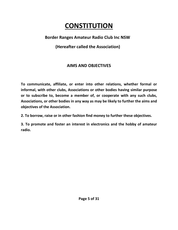## **CONSTITUTION**

#### **Border Ranges Amateur Radio Club Inc NSW**

#### **(Hereafter called the Association)**

#### **AIMS AND OBJECTIVES**

**To communicate, affiliate, or enter into other relations, whether formal or informal, with other clubs, Associations or other bodies having similar purpose or to subscribe to, become a member of, or cooperate with any such clubs, Associations, or other bodies in any way as may be likely to further the aims and objectives of the Association.** 

**2. To borrow, raise or in other fashion find money to further these objectives.** 

**3. To promote and foster an interest in electronics and the hobby of amateur radio.**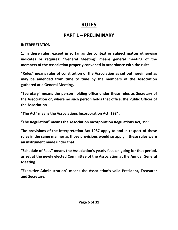#### **RULES**

#### **PART 1 – PRELIMINARY**

#### **INTERPRETATION**

**1. In these rules, except in so far as the context or subject matter otherwise indicates or requires: "General Meeting" means general meeting of the members of the Association properly convened in accordance with the rules.** 

**"Rules" means rules of constitution of the Association as set out herein and as may be amended from time to time by the members of the Association gathered at a General Meeting.** 

**"Secretary" means the person holding office under these rules as Secretary of the Association or, where no such person holds that office, the Public Officer of the Association** 

**"The Act" means the Associations Incorporation Act, 1984.** 

**"The Regulation" means the Association Incorporation Regulations Act, 1999.** 

**The provisions of the Interpretation Act 1987 apply to and in respect of these rules in the same manner as those provisions would so apply if these rules were an instrument made under that** 

**"Schedule of Fees" means the Association's yearly fees on going for that period, as set at the newly elected Committee of the Association at the Annual General Meeting.** 

**"Executive Administration" means the Association's valid President, Treasurer and Secretary.**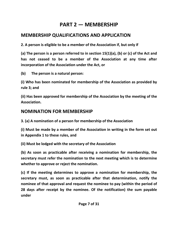#### **PART 2 — MEMBERSHIP**

#### **MEMBERSHIP QUALIFICATIONS AND APPLICATION**

**2. A person is eligible to be a member of the Association if, but only if** 

**(a) The person is a person referred to in section 15(1)(a), (b) or (c) of the Act and has not ceased to be a member of the Association at any time after incorporation of the Association under the Act, or** 

**(b) The person is a natural person:** 

**(i) Who has been nominated for membership of the Association as provided by rule 3; and** 

**(ii) Has been approved for membership of the Association by the meeting of the Association.** 

#### **NOMINATION FOR MEMBERSHIP**

**3. (a) A nomination of a person for membership of the Association** 

**(i) Must be made by a member of the Association in writing in the form set out in Appendix 1 to these rules, and** 

**(ii) Must be lodged with the secretary of the Association** 

**(b) As soon as practicable after receiving a nomination for membership, the secretary must refer the nomination to the next meeting which is to determine whether to approve or reject the nomination.** 

**(c) If the meeting determines to approve a nomination for membership, the secretary must, as soon as practicable after that determination, notify the nominee of that approval and request the nominee to pay (within the period of 28 days after receipt by the nominee. Of the notification) the sum payable under**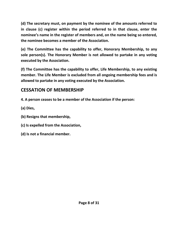**(d) The secretary must, on payment by the nominee of the amounts referred to in clause (c) register within the period referred to in that clause, enter the nominee's name in the register of members and, on the name being so entered, the nominee becomes a member of the Association.** 

**(e) The Committee has the capability to offer, Honorary Membership, to any sole person(s). The Honorary Member is not allowed to partake in any voting executed by the Association.** 

**(f) The Committee has the capability to offer, Life Membership, to any existing member. The Life Member is excluded from all ongoing membership fees and is allowed to partake in any voting executed by the Association.** 

#### **CESSATION OF MEMBERSHIP**

- **4. A person ceases to be a member of the Association if the person:**
- **(a) Dies,**
- **(b) Resigns that membership,**
- **(c) Is expelled from the Association,**
- **(d) Is not a financial member.**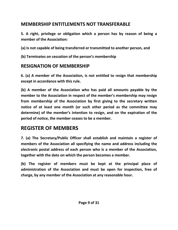#### **MEMBERSHIP ENTITLEMENTS NOT TRANSFERABLE**

**5. A right, privilege or obligation which a person has by reason of being a member of the Association:** 

**(a) Is not capable of being transferred or transmitted to another person, and** 

**(b) Terminates on cessation of the person's membership** 

#### **RESIGNATION OF MEMBERSHIP**

**6. (a) A member of the Association, is not entitled to resign that membership except in accordance with this rule.** 

**(b) A member of the Association who has paid all amounts payable by the member to the Association in respect of the member's membership may resign from membership of the Association by first giving to the secretary written notice of at least one month (or such other period as the committee may determine) of the member's intention to resign, and on the expiration of the period of notice, the member ceases to be a member.**

### **REGISTER OF MEMBERS**

**7. (a) The Secretary/Public Officer shall establish and maintain a register of members of the Association all specifying the name and address including the electronic postal address of each person who is a member of the Association, together with the date on which the person becomes a member.** 

**(b) The register of members must be kept at the principal place of administration of the Association and must be open for inspection, free of charge, by any member of the Association at any reasonable hour.**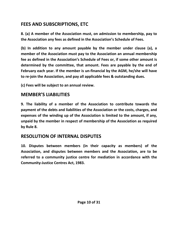#### **FEES AND SUBSCRIPTIONS, ETC**

**8. (a) A member of the Association must, on admission to membership, pay to the Association any fees as defined in the Association's Schedule of Fees.** 

**(b) In addition to any amount payable by the member under clause (a), a member of the Association must pay to the Association an annual membership fee as defined in the Association's Schedule of Fees or, if some other amount is determined by the committee, that amount. Fees are payable by the end of February each year. If the member is un-financial by the AGM, he/she will have to re-join the Association, and pay all applicable fees & outstanding dues.** 

**(c) Fees will be subject to an annual review.** 

#### **MEMBER'S LIABILITIES**

**9. The liability of a member of the Association to contribute towards the payment of the debts and liabilities of the Association or the costs, charges, and expenses of the winding up of the Association is limited to the amount, if any, unpaid by the member in respect of membership of the Association as required by Rule 8.** 

#### **RESOLUTION OF INTERNAL DISPUTES**

**10. Disputes between members (in their capacity as members) of the Association, and disputes between members and the Association, are to be referred to a community justice centre for mediation in accordance with the Community-Justice Centres Act, 1983.**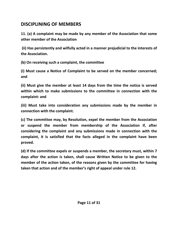#### **DISCIPLINING OF MEMBERS**

**11. (a) A complaint may be made by any member of the Association that some other member of the Association** 

 **(ii) Has persistently and wilfully acted in a manner prejudicial to the interests of the Association.** 

**(b) On receiving such a complaint, the committee** 

**(i) Must cause a Notice of Complaint to be served on the member concerned; and** 

**(ii) Must give the member at least 14 days from the time the notice is served within which to make submissions to the committee in connection with the complaint: and** 

**(iii) Must take into consideration any submissions made by the member in connection with the complaint.** 

**(c) The committee may, by Resolution, expel the member from the Association or suspend the member from membership of the Association if, after considering the complaint and any submissions made in connection with the complaint, it is satisfied that the facts alleged in the complaint have been proved.** 

**(d) If the committee expels or suspends a member, the secretary must, within 7 days after the action is taken, shall cause Written Notice to be given to the member of the action taken, of the reasons given by the committee for having taken that action and of the member's right of appeal under rule 12.**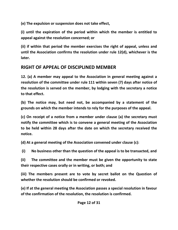**(e) The expulsion or suspension does not take effect,** 

**(i) until the expiration of the period within which the member is entitled to appeal against the resolution concerned; or** 

**(ii) if within that period the member exercises the right of appeal, unless and until the Association confirms the resolution under rule 12(d), whichever is the later.** 

#### **RIGHT OF APPEAL OF DISCIPLINED MEMBER**

**12. (a) A member may appeal to the Association in general meeting against a resolution of the committee under rule 111 within seven (7) days after notice of the resolution is served on the member, by lodging with the secretary a notice to that effect.** 

**(b) The notice may, but need not, be accompanied by a statement of the grounds on which the member intends to rely for the purposes of the appeal.** 

**(c) On receipt of a notice from a member under clause (a) the secretary must notify the committee which is to convene a general meeting of the Association to be held within 28 days after the date on which the secretary received the notice.** 

**(d) At a general meeting of the Association convened under clause (c):** 

 **(i) No business other than the question of the appeal is to be transacted, and** 

**(ii) The committee and the member must be given the opportunity to state their respective cases orally or in writing, or both; and** 

**(iii) The members present are to vote by secret ballot on the Question of whether the resolution should be confirmed or revoked.** 

**(e) If at the general meeting the Association passes a special resolution in favour of the confirmation of the resolution, the resolution is confirmed.**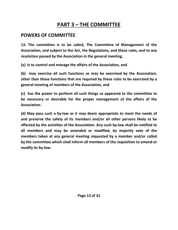### **PART 3 – THE COMMITTEE**

#### **POWERS OF COMMITTEE**

**13. The committee is to be called, The Committee of Management of the Association, and subject to the Act, the Regulations, and these rules, and to any resolution passed by the Association in the general meeting,** 

**(a) Is to control and manage the affairs of the Association, and** 

**(b) may exercise all such functions as may be exercised by the Association, other than those functions that are required by these rules to be exercised by a general meeting of members of the Association, and** 

**(c) has the power to perform all such things as appeared to the committee to be necessary or desirable for the proper management of the affairs of the Association.** 

**(d) May pass such a by-law as it may deem appropriate to meet the needs of and preserve the safety of its members and/or all other persons likely to be affected by the activities of the Association. Any such by-law shall be notified to all members and may be amended or modified, by majority vote of the members taken at any general meeting requested by a member and/or called by the committee which shall inform all members of the requisition to amend or modify its by-law.**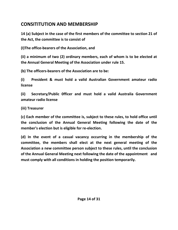#### **CONSITITUTION AND MEMBERSHIP**

**14 (a) Subject in the case of the first members of the committee to section 21 of the Act, the committee is to consist of** 

**(I)The office-bearers of the Association, and** 

**(ii) a minimum of two (2) ordinary members, each of whom is to be elected at the Annual General Meeting of the Association under rule 15.** 

**(b) The officers-bearers of the Association are to be:** 

**(i) President & must hold a valid Australian Government amateur radio license** 

**(ii) Secretary/Public 0fficer and must hold a valid Australia Government amateur radio license** 

**(iii) Treasurer** 

**(c) Each member of the committee is, subject to these rules, to hold office until the conclusion of the Annual General Meeting following the date of the member's election but is eligible for re-election.** 

**(d) In the event of a casual vacancy occurring in the membership of the committee, the members shall elect at the next general meeting of the Association a new committee person subject to these rules, until the conclusion of the Annual General Meeting next following the date of the appointment and must comply with all conditions in holding the position temporarily.**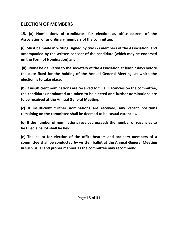#### **ELECTION OF MEMBERS**

**15. (a) Nominations of candidates for election as office-bearers of the Association or as ordinary members of the committee:** 

**(i) Must be made in writing, signed by two (2) members of the Association, and accompanied by the written consent of the candidate (which may be endorsed on the Form of Nomination) and** 

 **(ii) Must be delivered to the secretary of the Association at least 7 days before the date fixed for the holding of the Annual General Meeting, at which the election is to take place.** 

**(b) If insufficient nominations are received to fill all vacancies on the committee, the candidates nominated are taken to be elected and further nominations are to be received at the Annual General Meeting.** 

**(c) If insufficient further nominations are received, any vacant positions remaining on the committee shall be deemed to be casual vacancies.** 

**(d) If the number of nominations received exceeds the number of vacancies to be filled a ballot shall be held.** 

**(e) The ballot for election of the office-hearers and ordinary members of a committee shall be conducted by written ballot at the Annual General Meeting in such usual and proper manner as the committee may recommend.**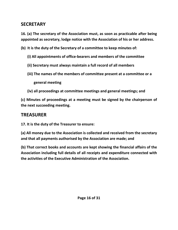#### **SECRETARY**

**16. (a) The secretary of the Association must, as soon as practicable after being appointed as secretary, lodge notice with the Association of his or her address.** 

**(b) It is the duty of the Secretary of a committee to keep minutes of:** 

- **(i) All appointments of office-bearers and members of the committee**
- **(ii) Secretary must always maintain a full record of all members**
- **(iii) The names of the members of committee present at a committee or a**

 **general meeting** 

 **(iv) all proceedings at committee meetings and general meetings; and** 

**(c) Minutes of proceedings at a meeting must be signed by the chairperson of the next succeeding meeting.** 

#### **TREASURER**

**17. It is the duty of the Treasurer to ensure:** 

**(a) All money due to the Association is collected and received from the secretary and that all payments authorised by the Association are made; and** 

**(b) That correct books and accounts are kept showing the financial affairs of the Association including full details of all receipts and expenditure connected with the activities of the Executive Administration of the Association.**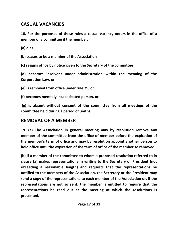#### **CASUAL VACANCIES**

**18. For the purposes of these rules a casual vacancy occurs in the office of a member of a committee if the member:** 

**(a) dies** 

**(b) ceases to be a member of the Association** 

**(c) resigns office by notice given to the Secretary of the committee** 

**(d) becomes insolvent under administration within the meaning of the Corporation Law, or** 

**(e) is removed from office under rule 29; or** 

**(f) becomes mentally incapacitated person, or** 

 **(g) is absent without consent of the committee from all meetings of the committee held during a period of 3mths** 

#### **REMOVAL OF A MEMBER**

**19. (a) The Association in general meeting may by resolution remove any member of the committee from the office of member before the expiration of the member's term of office and may by resolution appoint another person to hold office until the expiration of the term of office of the member so removed.** 

**(b) If a member of the committee to whom a proposed resolution referred to in clause (a) makes representations in writing to the Secretary or President (not exceeding a reasonable length) and requests that the representations be notified to the members of the Association, the Secretary or the President may send a copy of the representations to each member of the Association or, if the representations are not so sent, the member is entitled to require that the representations be read out at the meeting at which the resolutions is presented.**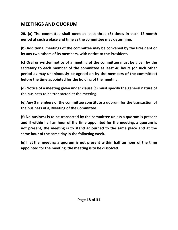#### **MEETINGS AND QUORUM**

**20. (a) The committee shall meet at least three (3) times in each 12-month period at such a place and time as the committee may determine.** 

**(b) Additional meetings of the committee may be convened by the President or by any two others of its members, with notice to the President.** 

**(c) Oral or written notice of a meeting of the committee must be given by the secretary to each member of the committee at least 48 hours (or such other period as may unanimously be agreed on by the members of the committee) before the time appointed for the holding of the meeting.** 

**(d) Notice of a meeting given under clause (c) must specify the general nature of the business to be transacted at the meeting.** 

**(e) Any 3 members of the committee constitute a quorum for the transaction of the business of a, Meeting of the Committee** 

**(f) No business is to be transacted by the committee unless a quorum is present and if within half an hour of the time appointed for the meeting, a quorum is not present, the meeting is to stand adjourned to the same place and at the same hour of the same day in the following week.** 

**(g) If at the meeting a quorum is not present within half an hour of the time appointed for the meeting, the meeting is to be dissolved.**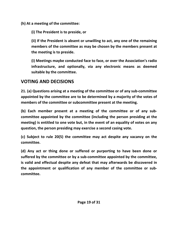**(h) At a meeting of the committee:** 

**(i) The President is to preside, or** 

**(ii) If the President is absent or unwilling to act, any one of the remaining members of the committee as may be chosen by the members present at the meeting is to preside.** 

**(i) Meetings maybe conducted face to face, or over the Association's radio infrastructure, and optionally, via any electronic means as deemed suitable by the committee.** 

#### **VOTING AND DECISIONS**

**21. (a) Questions arising at a meeting of the committee or of any sub-committee appointed by the committee are to be determined by a majority of the votes of members of the committee or subcommittee present at the meeting.** 

**(b) Each member present at a meeting of the committee or of any subcommittee appointed by the committee (including the person presiding at the meeting) is entitled to one vote but, in the event of an equality of votes on any question, the person presiding may exercise a second casing vote.** 

**(c) Subject to rule 20(5) the committee may act despite any vacancy on the committee.** 

**(d) Any act or thing done or suffered or purporting to have been done or suffered by the committee or by a sub-committee appointed by the committee, is valid and effectual despite any defeat that may afterwards be discovered in the appointment or qualification of any member of the committee or subcommittee.**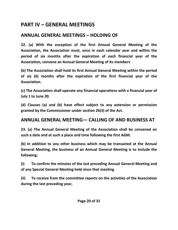#### **PART IV – GENERAL MEETINGS**

#### **ANNUAL GENERAL MEETINGS – HOLDING OF**

**22. (a) With the exception of the first Annual General Meeting of the Association, the Association must, once in each calendar year and within the period of six months after the expiration of each financial year of the Association, convene an Annual General Meeting of its members** 

**(b) The Association shall hold its first Annual General Meeting within the period of six (6) months after the expiration of the first financial year of the Association.** 

**(c) The Association shall operate any financial operations with a financial year of July 1 to June 30.** 

**(d) Clauses (a) and (b) have effect subject to any extension or permission granted by the Commissioner under section 26(3) of the Act.** 

#### **ANNUAL GENERAL MEETING— CALLING OF AND BUSINESS AT**

**23. (a) The Annual General Meeting of the Association shall be convened on such a date and at such a place and time following the first AGM.** 

**(b) In addition to any other business which may be transacted at the Annual General Meeting, the business of an Annual General Meeting is to include the following:** 

**(i) To confirm the minutes of the last preceding Annual General Meeting and of any Special General Meeting held since that meeting** 

**(ii) To receive from the committee reports on the activities of the Association during the last preceding year,**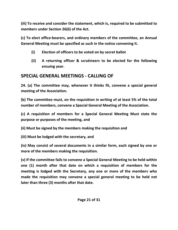**(iii) To receive and consider the statement, which is, required to be submitted to members under Section 26(6) of the Act.** 

**(c) To elect office-bearers, and ordinary members of the committee, an Annual General Meeting must be specified as such in the notice convening it.** 

- **(i) Election of officers to be voted on by secret ballot**
- **(ii) A returning officer & scrutineers to be elected for the following ensuing year.**

#### **SPECIAL GENERAL MEETINGS - CALLING OF**

**24. (a) The committee may, whenever it thinks fit, convene a special general meeting of the Association.** 

**(b) The committee must, on the requisition in writing of at least 5% of the total number of members, convene a Special General Meeting of the Association.** 

**(c) A requisition of members for a Special General Meeting Must state the purpose or purposes of the meeting, and** 

**(ii) Must be signed by the members making the requisition and** 

**(iii) Must be lodged with the secretary, and** 

**(iv) May consist of several documents in a similar form, each signed by one or more of the members making the requisition.** 

**(v) If the committee fails to convene a Special General Meeting to be held within one (1) month after that date on which a requisition of members for the meeting is lodged with the Secretary, any one or more of the members who made the requisition may convene a special general meeting to be held not later than three (3) months after that date.**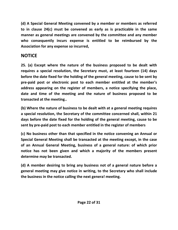**(d) A Special General Meeting convened by a member or members as referred to in clause 24(c) must be convened as early as is practicable in the same manner as general meetings are convened by the committee and any member who consequently incurs expense is entitled to be reimbursed by the Association for any expense so incurred,** 

#### **NOTICE**

**25. (a) Except where the nature of the business proposed to be dealt with requires a special resolution, the Secretary must, at least fourteen (14) days before the date fixed for the holding of the general meeting, cause to be sent by pre-paid post or electronic post to each member entitled at the member's address appearing on the register of members, a notice specifying the place, date and time of the meeting and the nature of business proposed to be transacted at the meeting..** 

**(b) Where the nature of business to be dealt with at a general meeting requires a special resolution, the Secretary of the committee concerned shall, within 21 days before the date fixed for the holding of the general meeting, cause to be sent by pre-paid post to each member entitled in the register of members** 

**(c) No business other than that specified in the notice convening an Annual or Special General Meeting shall be transacted at the meeting except, in the case of an Annual General Meeting, business of a general nature: of which prior notice has not been given and which a majority of the members present determine may be transacted.** 

**(d) A member desiring to bring any business not of a general nature before a general meeting may give notice in writing, to the Secretary who shall include the business in the notice calling the next genera! meeting.**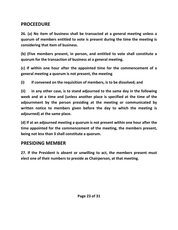#### **PROCEEDURE**

**26. (a) No item of business shall be transacted at a general meeting unless a quorum of members entitled to vote is present during the time the meeting is considering that item of business.** 

**(b) (Five members present, in person, and entitled to vote shall constitute a quorum for the transaction of business at a general meeting.** 

**(c) If within one hour after the appointed time for the commencement of a general meeting a quorum is not present, the meeting** 

**(i) if convened on the requisition of members, is to be dissolved; and** 

**(ii) in any other case, is to stand adjourned to the same day in the following week and at a time and (unless another place is specified at the time of the adjournment by the person presiding at the meeting or communicated by written notice to members given before the day to which the meeting is adjourned) at the same place.** 

**(d) If at an adjourned meeting a quorum is not present within one hour after the time appointed for the commencement of the meeting, the members present, being not less than 3 shall constitute a quorum.** 

#### **PRESIDING MEMBER**

**27. If the President is absent or unwilling to act, the members present must elect one of their numbers to preside as Chairperson, at that meeting.**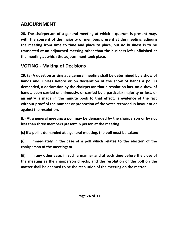#### **ADJOURNMENT**

**28. The chairperson of a general meeting at which a quorum is present may, with the consent of the majority of members present at the meeting, adjourn the meeting from time to time and place to place, but no business is to be transacted at an adjourned meeting other than the business left unfinished at the meeting at which the adjournment took place.** 

#### **VOTING - Making of Decisions**

**29. (a) A question arising at a general meeting shall be determined by a show of hands and, unless before or on declaration of the show of hands a poll is demanded, a declaration by the chairperson that a resolution has, on a show of hands, been carried unanimously, or carried by a particular majority or lost, or an entry is made in the minute book to that effect, is evidence of the fact without proof of the number or proportion of the votes recorded in favour of or against the resolution.** 

**(b) At a general meeting a poll may be demanded by the chairperson or by not less than three members present in person at the meeting.** 

**(c) If a poll is demanded at a general meeting, the poll must be taken:** 

**(i) Immediately in the case of a poll which relates to the election of the chairperson of the meeting; or** 

**(ii) In any other case, in such a manner and at such time before the close of the meeting as the chairperson directs, and the resolution of the poll on the matter shall be deemed to be the resolution of the meeting on the matter.**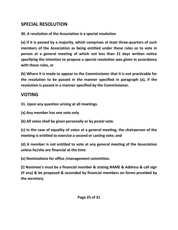#### **SPECIAL RESOLUTION**

**30. A resolution of the Association is a special resolution** 

**(a) if it is passed by a majority, which comprises at least three-quarters of such members of the Association as being entitled under these rules so to vote in person at a general meeting of which not less than 21 days written notice specifying the intention to propose a special resolution was given in accordance with these rules, or** 

**(b) Where it is made to appear to the Commissioner that it is not practicable for the resolution to be passed in the manner specified in paragraph (a), if the resolution is passed in a manner specified by the Commissioner.** 

#### **VOTING**

**31. Upon any question arising at all meetings.** 

**(a) Any member has one vote only** 

**(b) All votes shall be given personally or by postal vote.** 

**(c) In the case of equality of votes at a general meeting, the chairperson of the meeting is entitled to exercise a second or casting vote; and** 

**(d) A member is not entitled to vote at any general meeting of the Association unless he/she are financial at the time** 

**(e) Nominations for office /management committee.** 

**[i] Nominee's must be a financial member & stating NAME & Address & call sign (if any) & be proposed & seconded by financial members on forms provided by the secretary.**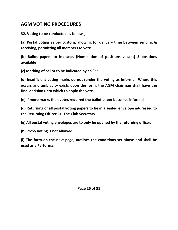#### **AGM VOTING PROCEDURES**

**32. Voting to be conducted as follows,** 

**(a) Postal voting as per custom, allowing for delivery time between sending & receiving, permitting all members to vote.** 

**(b) Ballot papers to indicate. (Nomination of positions vacant) 5 positions available** 

**(c) Marking of ballot to be indicated by an "X".** 

**(d) Insufficient voting marks do not render the voting as informal. Where this occurs and ambiguity exists upon the form, the AGM chairman shall have the final decision unto which to apply the vote.** 

**(e) If more marks than votes required the ballot paper becomes informal** 

**(d) Returning of all postal voting papers to be in a sealed envelope addressed to the Returning Officer C/- The Club Secretary** 

**(g) All postal voting envelopes are to only be opened by the returning officer.** 

**(h) Proxy voting is not allowed.** 

**(i) The form on the next page, outlines the conditions set above and shall be used as a Performa.**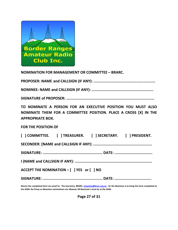

**NOMINATION FOR MANAGEMENT OR COMMITTEE – BRARC.** 

**PROPOSER: NAME and CALLSIGN (IF ANY): .........................................................** 

**NOMINEE: NAME and CALLSIGN (IF ANY): .........................................................** 

**SIGNATURE of PROPOSER: .................................................................................** 

**TO NOMINATE A PERSON FOR AN EXECUTIVE POSITION YOU MUST ALSO NOMINATE THEM FOR A COMMITTEE POSITION. PLACE A CROSS [X] IN THE APPROPRIATE BOX.** 

**FOR THE POSITION OF** 

|                                           |  | [ ] COMMITTEE. [ ] TREASURER. [ ] SECRETARY. [ ] PRESIDENT. |  |  |
|-------------------------------------------|--|-------------------------------------------------------------|--|--|
|                                           |  |                                                             |  |  |
|                                           |  |                                                             |  |  |
|                                           |  |                                                             |  |  |
| ACCEPT THE NOMINATION - [ ] YES or [ ] NO |  |                                                             |  |  |
|                                           |  |                                                             |  |  |

**Return the completed form via email to: The Secretary, BRARC, enquiries@brarc.org.au . Or the Nominee is to bring the form completed to the AGM. No Proxy or Absentee nominations are allowed. All Nominee's must be at the AGM.** 

**Page 27 of 31**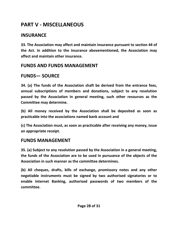### **PART V - MISCELLANEOUS**

#### **INSURANCE**

**33. The Association may affect and maintain insurance pursuant to section 44 of the Act. In addition to the insurance abovementioned, the Association may affect and maintain other insurance.** 

#### **FUNDS AND FUNDS MANAGEMENT**

#### **FUNDS— SOURCE**

**34. (a) The funds of the Association shaft be derived from the entrance fees, annual subscriptions of members and donations, subject to any resolution passed by the Association in general meeting, such other resources as the Committee may determine.** 

**(b) All money received by the Association shall be deposited as soon as practicable into the associations named bank account and** 

**(c) The Association must, as soon as practicable after receiving any money, issue an appropriate receipt.** 

#### **FUNDS MANAGEMENT**

**35. (a) Subject to any resolution passed by the Association in a general meeting, the funds of the Association are to be used in pursuance of the objects of the Association in such manner as the committee determines.** 

**(b) All cheques, drafts, bills of exchange, promissory notes and any other negotiable instruments must be signed by two authorised signatories or to enable Internet Banking, authorised passwords of two members of the committee.**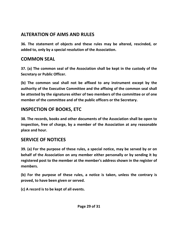#### **ALTERATION OF AIMS AND RULES**

**36. The statement of objects and these rules may be altered, rescinded, or added to, only by a special resolution of the Association.** 

#### **COMMON SEAL**

**37. (a) The common seal of the Association shall be kept in the custody of the Secretary or Public Officer.** 

**(b) The common seal shall not be affixed to any instrument except by the authority of the Executive Committee and the affixing of the common seal shall be attested by the signatures either of two members of the committee or of one member of the committee and of the public officers or the Secretary.** 

#### **INSPECTION OF BOOKS, ETC**

**38. The records, books and other documents of the Association shall be open to inspection, free of charge, by a member of the Association at any reasonable place and hour.** 

#### **SERVICE OF NOTICES**

**39. (a) For the purpose of these rules, a special notice, may be served by or on behalf of the Association on any member either personally or by sending it by registered post to the member at the member's address shown in the register of members.** 

**(b) For the purpose of these rules, a notice is taken, unless the contrary is proved, to have been given or served.** 

**(c) A record is to be kept of all events.**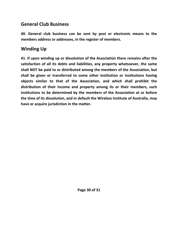#### **General Club Business**

**40. General club business can be sent by post or electronic means to the members address or addresses, in the register of members.** 

#### **Winding Up**

**41. If upon winding up or dissolution of the Association there remains after the satisfaction of all its debts and liabilities, any property whatsoever, the same shall NOT be paid to or distributed among the members of the Association, but shall be given or transferred to some other institution or institutions having objects similar to that of the Association, and which shall prohibit the distribution of their income and property among its or their members, such institutions to be determined by the members of the Association at or before the time of its dissolution, and in default the Wireless Institute of Australia, may have or acquire jurisdiction in the matter.**